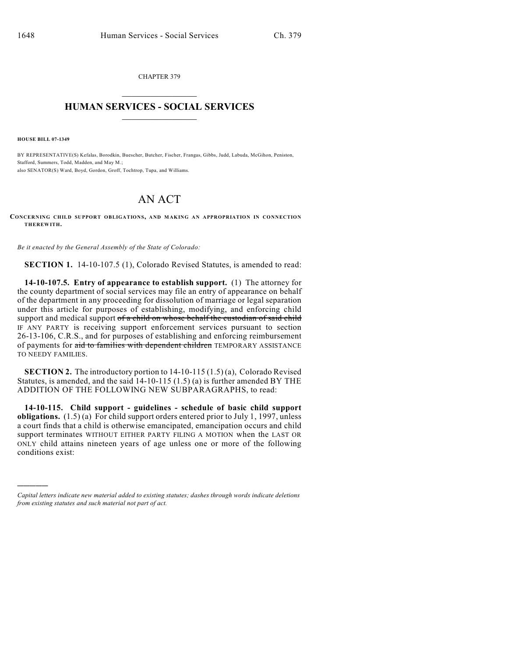CHAPTER 379  $\overline{\phantom{a}}$  . The set of the set of the set of the set of the set of the set of the set of the set of the set of the set of the set of the set of the set of the set of the set of the set of the set of the set of the set o

## **HUMAN SERVICES - SOCIAL SERVICES**  $\frac{1}{2}$  ,  $\frac{1}{2}$  ,  $\frac{1}{2}$  ,  $\frac{1}{2}$  ,  $\frac{1}{2}$  ,  $\frac{1}{2}$  ,  $\frac{1}{2}$

**HOUSE BILL 07-1349**

)))))

BY REPRESENTATIVE(S) Kefalas, Borodkin, Buescher, Butcher, Fischer, Frangas, Gibbs, Judd, Labuda, McGihon, Peniston, Stafford, Summers, Todd, Madden, and May M.; also SENATOR(S) Ward, Boyd, Gordon, Groff, Tochtrop, Tupa, and Williams.

## AN ACT

**CONCERNING CHILD SUPPORT OBLIGATIONS, AND MAKING AN APPROPRIATION IN CONNECTION THEREWITH.**

*Be it enacted by the General Assembly of the State of Colorado:*

**SECTION 1.** 14-10-107.5 (1), Colorado Revised Statutes, is amended to read:

**14-10-107.5. Entry of appearance to establish support.** (1) The attorney for the county department of social services may file an entry of appearance on behalf of the department in any proceeding for dissolution of marriage or legal separation under this article for purposes of establishing, modifying, and enforcing child support and medical support of a child on whose behalf the custodian of said child IF ANY PARTY is receiving support enforcement services pursuant to section 26-13-106, C.R.S., and for purposes of establishing and enforcing reimbursement of payments for aid to families with dependent children TEMPORARY ASSISTANCE TO NEEDY FAMILIES.

**SECTION 2.** The introductory portion to 14-10-115 (1.5) (a), Colorado Revised Statutes, is amended, and the said 14-10-115 (1.5) (a) is further amended BY THE ADDITION OF THE FOLLOWING NEW SUBPARAGRAPHS, to read:

**14-10-115. Child support - guidelines - schedule of basic child support obligations.** (1.5) (a) For child support orders entered prior to July 1, 1997, unless a court finds that a child is otherwise emancipated, emancipation occurs and child support terminates WITHOUT EITHER PARTY FILING A MOTION when the LAST OR ONLY child attains nineteen years of age unless one or more of the following conditions exist:

*Capital letters indicate new material added to existing statutes; dashes through words indicate deletions from existing statutes and such material not part of act.*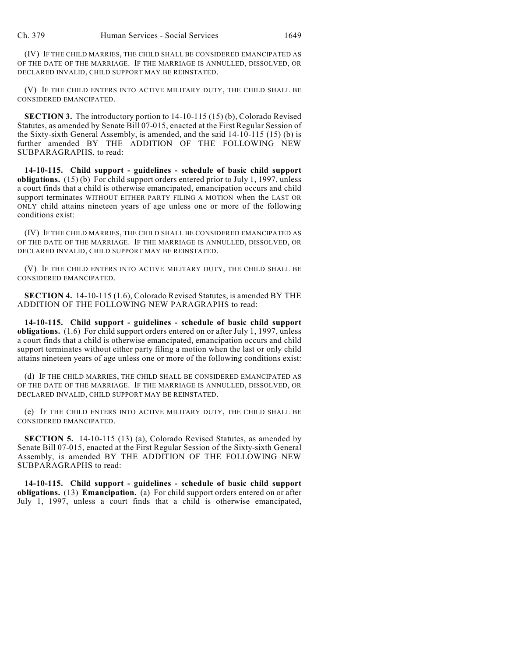(IV) IF THE CHILD MARRIES, THE CHILD SHALL BE CONSIDERED EMANCIPATED AS OF THE DATE OF THE MARRIAGE. IF THE MARRIAGE IS ANNULLED, DISSOLVED, OR DECLARED INVALID, CHILD SUPPORT MAY BE REINSTATED.

(V) IF THE CHILD ENTERS INTO ACTIVE MILITARY DUTY, THE CHILD SHALL BE CONSIDERED EMANCIPATED.

**SECTION 3.** The introductory portion to 14-10-115 (15) (b), Colorado Revised Statutes, as amended by Senate Bill 07-015, enacted at the First Regular Session of the Sixty-sixth General Assembly, is amended, and the said 14-10-115 (15) (b) is further amended BY THE ADDITION OF THE FOLLOWING NEW SUBPARAGRAPHS, to read:

**14-10-115. Child support - guidelines - schedule of basic child support obligations.** (15) (b) For child support orders entered prior to July 1, 1997, unless a court finds that a child is otherwise emancipated, emancipation occurs and child support terminates WITHOUT EITHER PARTY FILING A MOTION when the LAST OR ONLY child attains nineteen years of age unless one or more of the following conditions exist:

(IV) IF THE CHILD MARRIES, THE CHILD SHALL BE CONSIDERED EMANCIPATED AS OF THE DATE OF THE MARRIAGE. IF THE MARRIAGE IS ANNULLED, DISSOLVED, OR DECLARED INVALID, CHILD SUPPORT MAY BE REINSTATED.

(V) IF THE CHILD ENTERS INTO ACTIVE MILITARY DUTY, THE CHILD SHALL BE CONSIDERED EMANCIPATED.

**SECTION 4.** 14-10-115 (1.6), Colorado Revised Statutes, is amended BY THE ADDITION OF THE FOLLOWING NEW PARAGRAPHS to read:

**14-10-115. Child support - guidelines - schedule of basic child support obligations.** (1.6) For child support orders entered on or after July 1, 1997, unless a court finds that a child is otherwise emancipated, emancipation occurs and child support terminates without either party filing a motion when the last or only child attains nineteen years of age unless one or more of the following conditions exist:

(d) IF THE CHILD MARRIES, THE CHILD SHALL BE CONSIDERED EMANCIPATED AS OF THE DATE OF THE MARRIAGE. IF THE MARRIAGE IS ANNULLED, DISSOLVED, OR DECLARED INVALID, CHILD SUPPORT MAY BE REINSTATED.

(e) IF THE CHILD ENTERS INTO ACTIVE MILITARY DUTY, THE CHILD SHALL BE CONSIDERED EMANCIPATED.

**SECTION 5.** 14-10-115 (13) (a), Colorado Revised Statutes, as amended by Senate Bill 07-015, enacted at the First Regular Session of the Sixty-sixth General Assembly, is amended BY THE ADDITION OF THE FOLLOWING NEW SUBPARAGRAPHS to read:

**14-10-115. Child support - guidelines - schedule of basic child support obligations.** (13) **Emancipation.** (a) For child support orders entered on or after July 1, 1997, unless a court finds that a child is otherwise emancipated,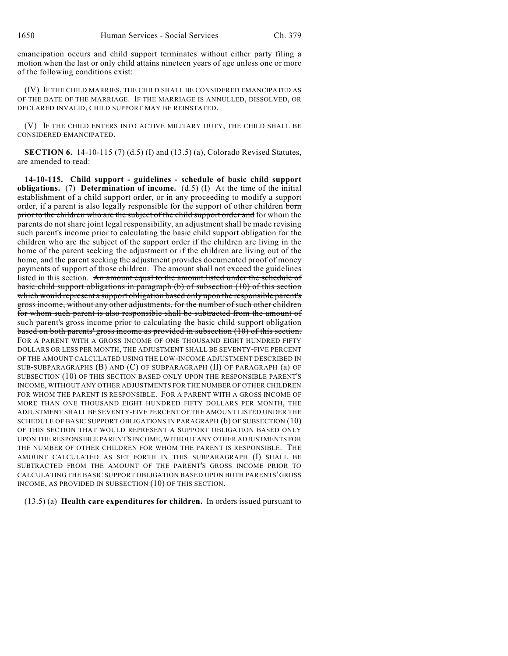emancipation occurs and child support terminates without either party filing a motion when the last or only child attains nineteen years of age unless one or more of the following conditions exist:

(IV) IF THE CHILD MARRIES, THE CHILD SHALL BE CONSIDERED EMANCIPATED AS OF THE DATE OF THE MARRIAGE. IF THE MARRIAGE IS ANNULLED, DISSOLVED, OR DECLARED INVALID, CHILD SUPPORT MAY BE REINSTATED.

(V) IF THE CHILD ENTERS INTO ACTIVE MILITARY DUTY, THE CHILD SHALL BE CONSIDERED EMANCIPATED.

**SECTION 6.** 14-10-115 (7) (d.5) (I) and (13.5) (a), Colorado Revised Statutes, are amended to read:

**14-10-115. Child support - guidelines - schedule of basic child support obligations.** (7) **Determination of income.** (d.5) (I) At the time of the initial establishment of a child support order, or in any proceeding to modify a support order, if a parent is also legally responsible for the support of other children born prior to the children who are the subject of the child support order and for whom the parents do not share joint legal responsibility, an adjustment shall be made revising such parent's income prior to calculating the basic child support obligation for the children who are the subject of the support order if the children are living in the home of the parent seeking the adjustment or if the children are living out of the home, and the parent seeking the adjustment provides documented proof of money payments of support of those children. The amount shall not exceed the guidelines listed in this section. An amount equal to the amount listed under the schedule of basic child support obligations in paragraph (b) of subsection (10) of this section which would represent a support obligation based only upon the responsible parent's gross income, without any other adjustments, for the number of such other children for whom such parent is also responsible shall be subtracted from the amount of such parent's gross income prior to calculating the basic child support obligation based on both parents' gross income as provided in subsection (10) of this section. FOR A PARENT WITH A GROSS INCOME OF ONE THOUSAND EIGHT HUNDRED FIFTY DOLLARS OR LESS PER MONTH, THE ADJUSTMENT SHALL BE SEVENTY-FIVE PERCENT OF THE AMOUNT CALCULATED USING THE LOW-INCOME ADJUSTMENT DESCRIBED IN SUB-SUBPARAGRAPHS (B) AND (C) OF SUBPARAGRAPH (II) OF PARAGRAPH (a) OF SUBSECTION (10) OF THIS SECTION BASED ONLY UPON THE RESPONSIBLE PARENT'S INCOME, WITHOUT ANY OTHER ADJUSTMENTS FOR THE NUMBER OF OTHER CHILDREN FOR WHOM THE PARENT IS RESPONSIBLE. FOR A PARENT WITH A GROSS INCOME OF MORE THAN ONE THOUSAND EIGHT HUNDRED FIFTY DOLLARS PER MONTH, THE ADJUSTMENT SHALL BE SEVENTY-FIVE PERCENT OF THE AMOUNT LISTED UNDER THE SCHEDULE OF BASIC SUPPORT OBLIGATIONS IN PARAGRAPH (b) OF SUBSECTION (10) OF THIS SECTION THAT WOULD REPRESENT A SUPPORT OBLIGATION BASED ONLY UPON THE RESPONSIBLE PARENT'S INCOME, WITHOUT ANY OTHER ADJUSTMENTS FOR THE NUMBER OF OTHER CHILDREN FOR WHOM THE PARENT IS RESPONSIBLE. THE AMOUNT CALCULATED AS SET FORTH IN THIS SUBPARAGRAPH (I) SHALL BE SUBTRACTED FROM THE AMOUNT OF THE PARENT'S GROSS INCOME PRIOR TO CALCULATING THE BASIC SUPPORT OBLIGATION BASED UPON BOTH PARENTS' GROSS INCOME, AS PROVIDED IN SUBSECTION (10) OF THIS SECTION.

(13.5) (a) **Health care expenditures for children.** In orders issued pursuant to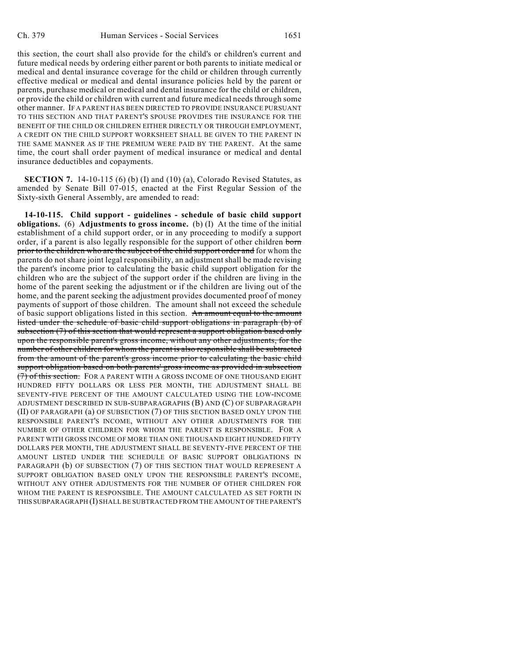this section, the court shall also provide for the child's or children's current and future medical needs by ordering either parent or both parents to initiate medical or medical and dental insurance coverage for the child or children through currently effective medical or medical and dental insurance policies held by the parent or parents, purchase medical or medical and dental insurance for the child or children, or provide the child or children with current and future medical needs through some other manner. IF A PARENT HAS BEEN DIRECTED TO PROVIDE INSURANCE PURSUANT TO THIS SECTION AND THAT PARENT'S SPOUSE PROVIDES THE INSURANCE FOR THE BENEFIT OF THE CHILD OR CHILDREN EITHER DIRECTLY OR THROUGH EMPLOYMENT, A CREDIT ON THE CHILD SUPPORT WORKSHEET SHALL BE GIVEN TO THE PARENT IN THE SAME MANNER AS IF THE PREMIUM WERE PAID BY THE PARENT. At the same time, the court shall order payment of medical insurance or medical and dental insurance deductibles and copayments.

**SECTION 7.** 14-10-115 (6) (b) (I) and (10) (a), Colorado Revised Statutes, as amended by Senate Bill 07-015, enacted at the First Regular Session of the Sixty-sixth General Assembly, are amended to read:

**14-10-115. Child support - guidelines - schedule of basic child support obligations.** (6) **Adjustments to gross income.** (b) (I) At the time of the initial establishment of a child support order, or in any proceeding to modify a support order, if a parent is also legally responsible for the support of other children born prior to the children who are the subject of the child support order and for whom the parents do not share joint legal responsibility, an adjustment shall be made revising the parent's income prior to calculating the basic child support obligation for the children who are the subject of the support order if the children are living in the home of the parent seeking the adjustment or if the children are living out of the home, and the parent seeking the adjustment provides documented proof of money payments of support of those children. The amount shall not exceed the schedule of basic support obligations listed in this section. An amount equal to the amount listed under the schedule of basic child support obligations in paragraph (b) of subsection (7) of this section that would represent a support obligation based only upon the responsible parent's gross income, without any other adjustments, for the number of other children for whom the parent is also responsible shall be subtracted from the amount of the parent's gross income prior to calculating the basic child support obligation based on both parents' gross income as provided in subsection (7) of this section. FOR A PARENT WITH A GROSS INCOME OF ONE THOUSAND EIGHT HUNDRED FIFTY DOLLARS OR LESS PER MONTH, THE ADJUSTMENT SHALL BE SEVENTY-FIVE PERCENT OF THE AMOUNT CALCULATED USING THE LOW-INCOME ADJUSTMENT DESCRIBED IN SUB-SUBPARAGRAPHS (B) AND (C) OF SUBPARAGRAPH (II) OF PARAGRAPH (a) OF SUBSECTION (7) OF THIS SECTION BASED ONLY UPON THE RESPONSIBLE PARENT'S INCOME, WITHOUT ANY OTHER ADJUSTMENTS FOR THE NUMBER OF OTHER CHILDREN FOR WHOM THE PARENT IS RESPONSIBLE. FOR A PARENT WITH GROSS INCOME OF MORE THAN ONE THOUSAND EIGHT HUNDRED FIFTY DOLLARS PER MONTH, THE ADJUSTMENT SHALL BE SEVENTY-FIVE PERCENT OF THE AMOUNT LISTED UNDER THE SCHEDULE OF BASIC SUPPORT OBLIGATIONS IN PARAGRAPH (b) OF SUBSECTION (7) OF THIS SECTION THAT WOULD REPRESENT A SUPPORT OBLIGATION BASED ONLY UPON THE RESPONSIBLE PARENT'S INCOME, WITHOUT ANY OTHER ADJUSTMENTS FOR THE NUMBER OF OTHER CHILDREN FOR WHOM THE PARENT IS RESPONSIBLE. THE AMOUNT CALCULATED AS SET FORTH IN THIS SUBPARAGRAPH (I) SHALL BE SUBTRACTED FROM THE AMOUNT OF THE PARENT'S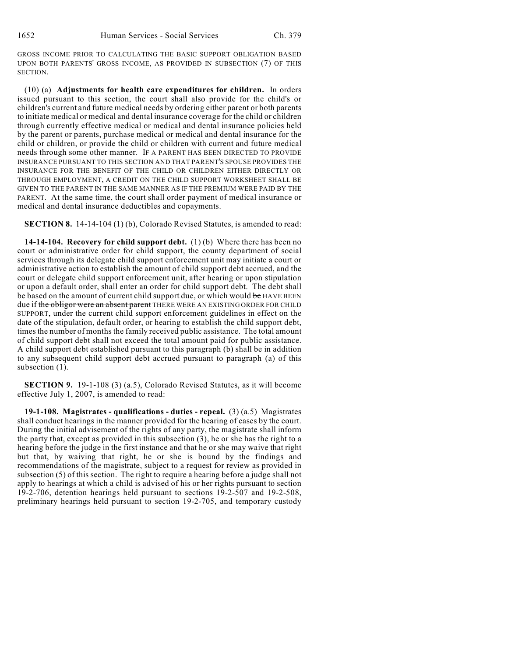GROSS INCOME PRIOR TO CALCULATING THE BASIC SUPPORT OBLIGATION BASED UPON BOTH PARENTS' GROSS INCOME, AS PROVIDED IN SUBSECTION (7) OF THIS SECTION.

(10) (a) **Adjustments for health care expenditures for children.** In orders issued pursuant to this section, the court shall also provide for the child's or children's current and future medical needs by ordering either parent or both parents to initiate medical or medical and dental insurance coverage for the child or children through currently effective medical or medical and dental insurance policies held by the parent or parents, purchase medical or medical and dental insurance for the child or children, or provide the child or children with current and future medical needs through some other manner. IF A PARENT HAS BEEN DIRECTED TO PROVIDE INSURANCE PURSUANT TO THIS SECTION AND THAT PARENT'S SPOUSE PROVIDES THE INSURANCE FOR THE BENEFIT OF THE CHILD OR CHILDREN EITHER DIRECTLY OR THROUGH EMPLOYMENT, A CREDIT ON THE CHILD SUPPORT WORKSHEET SHALL BE GIVEN TO THE PARENT IN THE SAME MANNER AS IF THE PREMIUM WERE PAID BY THE PARENT. At the same time, the court shall order payment of medical insurance or medical and dental insurance deductibles and copayments.

**SECTION 8.** 14-14-104 (1) (b), Colorado Revised Statutes, is amended to read:

**14-14-104. Recovery for child support debt.** (1) (b) Where there has been no court or administrative order for child support, the county department of social services through its delegate child support enforcement unit may initiate a court or administrative action to establish the amount of child support debt accrued, and the court or delegate child support enforcement unit, after hearing or upon stipulation or upon a default order, shall enter an order for child support debt. The debt shall be based on the amount of current child support due, or which would be HAVE BEEN due if the obligor were an absent parent THERE WERE AN EXISTING ORDER FOR CHILD SUPPORT, under the current child support enforcement guidelines in effect on the date of the stipulation, default order, or hearing to establish the child support debt, times the number of months the family received public assistance. The total amount of child support debt shall not exceed the total amount paid for public assistance. A child support debt established pursuant to this paragraph (b) shall be in addition to any subsequent child support debt accrued pursuant to paragraph (a) of this subsection (1).

**SECTION 9.** 19-1-108 (3) (a.5), Colorado Revised Statutes, as it will become effective July 1, 2007, is amended to read:

**19-1-108. Magistrates - qualifications - duties - repeal.** (3) (a.5) Magistrates shall conduct hearings in the manner provided for the hearing of cases by the court. During the initial advisement of the rights of any party, the magistrate shall inform the party that, except as provided in this subsection (3), he or she has the right to a hearing before the judge in the first instance and that he or she may waive that right but that, by waiving that right, he or she is bound by the findings and recommendations of the magistrate, subject to a request for review as provided in subsection (5) of this section. The right to require a hearing before a judge shall not apply to hearings at which a child is advised of his or her rights pursuant to section 19-2-706, detention hearings held pursuant to sections 19-2-507 and 19-2-508, preliminary hearings held pursuant to section 19-2-705, and temporary custody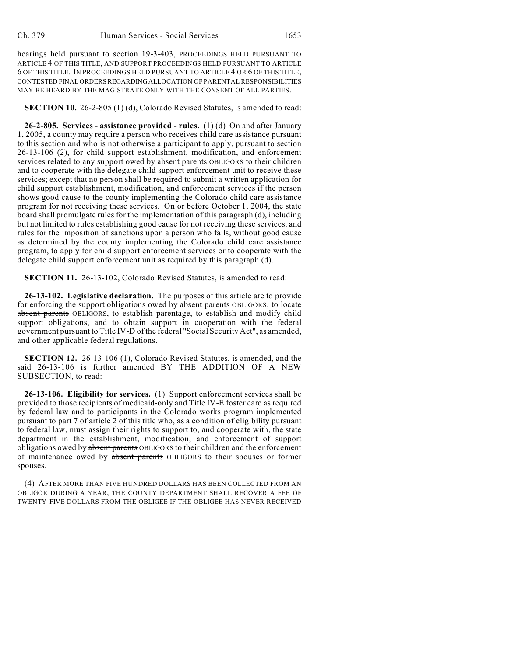hearings held pursuant to section 19-3-403, PROCEEDINGS HELD PURSUANT TO ARTICLE 4 OF THIS TITLE, AND SUPPORT PROCEEDINGS HELD PURSUANT TO ARTICLE 6 OF THIS TITLE. IN PROCEEDINGS HELD PURSUANT TO ARTICLE 4 OR 6 OF THIS TITLE, CONTESTED FINAL ORDERS REGARDING ALLOCATION OF PARENTAL RESPONSIBILITIES MAY BE HEARD BY THE MAGISTRATE ONLY WITH THE CONSENT OF ALL PARTIES.

**SECTION 10.** 26-2-805 (1) (d), Colorado Revised Statutes, is amended to read:

**26-2-805. Services - assistance provided - rules.** (1) (d) On and after January 1, 2005, a county may require a person who receives child care assistance pursuant to this section and who is not otherwise a participant to apply, pursuant to section 26-13-106 (2), for child support establishment, modification, and enforcement services related to any support owed by absent parents OBLIGORS to their children and to cooperate with the delegate child support enforcement unit to receive these services; except that no person shall be required to submit a written application for child support establishment, modification, and enforcement services if the person shows good cause to the county implementing the Colorado child care assistance program for not receiving these services. On or before October 1, 2004, the state board shall promulgate rules for the implementation of this paragraph (d), including but not limited to rules establishing good cause for not receiving these services, and rules for the imposition of sanctions upon a person who fails, without good cause as determined by the county implementing the Colorado child care assistance program, to apply for child support enforcement services or to cooperate with the delegate child support enforcement unit as required by this paragraph (d).

**SECTION 11.** 26-13-102, Colorado Revised Statutes, is amended to read:

**26-13-102. Legislative declaration.** The purposes of this article are to provide for enforcing the support obligations owed by absent parents OBLIGORS, to locate absent parents OBLIGORS, to establish parentage, to establish and modify child support obligations, and to obtain support in cooperation with the federal government pursuant to Title IV-D of the federal "Social Security Act", as amended, and other applicable federal regulations.

**SECTION 12.** 26-13-106 (1), Colorado Revised Statutes, is amended, and the said 26-13-106 is further amended BY THE ADDITION OF A NEW SUBSECTION, to read:

**26-13-106. Eligibility for services.** (1) Support enforcement services shall be provided to those recipients of medicaid-only and Title IV-E foster care as required by federal law and to participants in the Colorado works program implemented pursuant to part 7 of article 2 of this title who, as a condition of eligibility pursuant to federal law, must assign their rights to support to, and cooperate with, the state department in the establishment, modification, and enforcement of support obligations owed by absent parents OBLIGORS to their children and the enforcement of maintenance owed by absent parents OBLIGORS to their spouses or former spouses.

(4) AFTER MORE THAN FIVE HUNDRED DOLLARS HAS BEEN COLLECTED FROM AN OBLIGOR DURING A YEAR, THE COUNTY DEPARTMENT SHALL RECOVER A FEE OF TWENTY-FIVE DOLLARS FROM THE OBLIGEE IF THE OBLIGEE HAS NEVER RECEIVED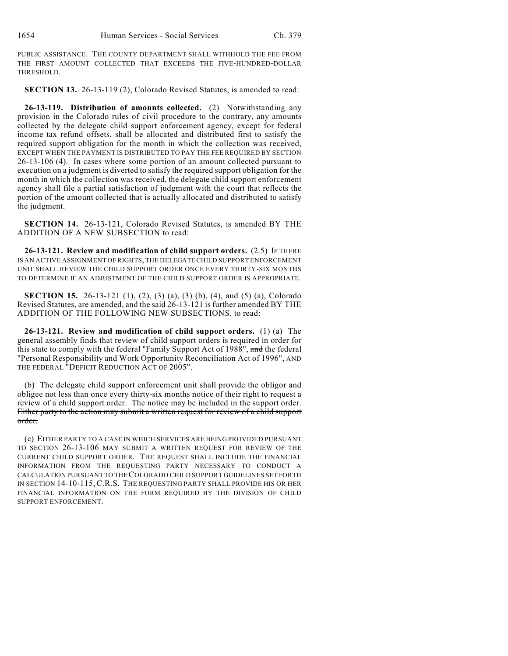PUBLIC ASSISTANCE. THE COUNTY DEPARTMENT SHALL WITHHOLD THE FEE FROM THE FIRST AMOUNT COLLECTED THAT EXCEEDS THE FIVE-HUNDRED-DOLLAR THRESHOLD.

**SECTION 13.** 26-13-119 (2), Colorado Revised Statutes, is amended to read:

**26-13-119. Distribution of amounts collected.** (2) Notwithstanding any provision in the Colorado rules of civil procedure to the contrary, any amounts collected by the delegate child support enforcement agency, except for federal income tax refund offsets, shall be allocated and distributed first to satisfy the required support obligation for the month in which the collection was received, EXCEPT WHEN THE PAYMENT IS DISTRIBUTED TO PAY THE FEE REQUIRED BY SECTION 26-13-106 (4). In cases where some portion of an amount collected pursuant to execution on a judgment is diverted to satisfy the required support obligation for the month in which the collection was received, the delegate child support enforcement agency shall file a partial satisfaction of judgment with the court that reflects the portion of the amount collected that is actually allocated and distributed to satisfy the judgment.

**SECTION 14.** 26-13-121, Colorado Revised Statutes, is amended BY THE ADDITION OF A NEW SUBSECTION to read:

**26-13-121. Review and modification of child support orders.** (2.5) IF THERE IS AN ACTIVE ASSIGNMENT OF RIGHTS, THE DELEGATE CHILD SUPPORT ENFORCEMENT UNIT SHALL REVIEW THE CHILD SUPPORT ORDER ONCE EVERY THIRTY-SIX MONTHS TO DETERMINE IF AN ADJUSTMENT OF THE CHILD SUPPORT ORDER IS APPROPRIATE.

**SECTION 15.** 26-13-121 (1), (2), (3) (a), (3) (b), (4), and (5) (a), Colorado Revised Statutes, are amended, and the said 26-13-121 is further amended BY THE ADDITION OF THE FOLLOWING NEW SUBSECTIONS, to read:

**26-13-121. Review and modification of child support orders.** (1) (a) The general assembly finds that review of child support orders is required in order for this state to comply with the federal "Family Support Act of 1988", and the federal "Personal Responsibility and Work Opportunity Reconciliation Act of 1996", AND THE FEDERAL "DEFICIT REDUCTION ACT OF 2005".

(b) The delegate child support enforcement unit shall provide the obligor and obligee not less than once every thirty-six months notice of their right to request a review of a child support order. The notice may be included in the support order. Either party to the action may submit a written request for review of a child support order.

(c) EITHER PARTY TO A CASE IN WHICH SERVICES ARE BEING PROVIDED PURSUANT TO SECTION 26-13-106 MAY SUBMIT A WRITTEN REQUEST FOR REVIEW OF THE CURRENT CHILD SUPPORT ORDER. THE REQUEST SHALL INCLUDE THE FINANCIAL INFORMATION FROM THE REQUESTING PARTY NECESSARY TO CONDUCT A CALCULATION PURSUANT TO THE COLORADO CHILD SUPPORT GUIDELINES SET FORTH IN SECTION 14-10-115, C.R.S. THE REQUESTING PARTY SHALL PROVIDE HIS OR HER FINANCIAL INFORMATION ON THE FORM REQUIRED BY THE DIVISION OF CHILD SUPPORT ENFORCEMENT.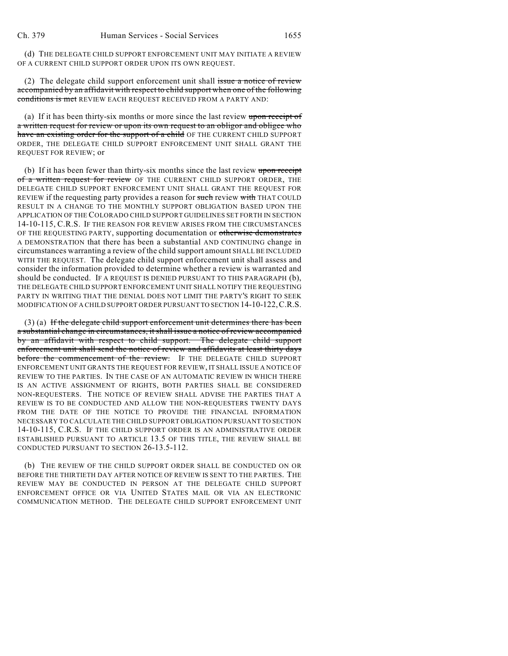(d) THE DELEGATE CHILD SUPPORT ENFORCEMENT UNIT MAY INITIATE A REVIEW OF A CURRENT CHILD SUPPORT ORDER UPON ITS OWN REQUEST.

(2) The delegate child support enforcement unit shall issue a notice of review accompanied by an affidavit with respect to child support when one of the following conditions is met REVIEW EACH REQUEST RECEIVED FROM A PARTY AND:

(a) If it has been thirty-six months or more since the last review upon receipt of a written request for review or upon its own request to an obligor and obligee who have an existing order for the support of a child OF THE CURRENT CHILD SUPPORT ORDER, THE DELEGATE CHILD SUPPORT ENFORCEMENT UNIT SHALL GRANT THE REQUEST FOR REVIEW; or

(b) If it has been fewer than thirty-six months since the last review upon receipt of a written request for review OF THE CURRENT CHILD SUPPORT ORDER, THE DELEGATE CHILD SUPPORT ENFORCEMENT UNIT SHALL GRANT THE REQUEST FOR REVIEW if the requesting party provides a reason for such review with THAT COULD RESULT IN A CHANGE TO THE MONTHLY SUPPORT OBLIGATION BASED UPON THE APPLICATION OF THE COLORADO CHILD SUPPORT GUIDELINES SET FORTH IN SECTION 14-10-115, C.R.S. IF THE REASON FOR REVIEW ARISES FROM THE CIRCUMSTANCES OF THE REQUESTING PARTY, supporting documentation or otherwise demonstrates A DEMONSTRATION that there has been a substantial AND CONTINUING change in circumstances warranting a review of the child support amount SHALL BE INCLUDED WITH THE REQUEST. The delegate child support enforcement unit shall assess and consider the information provided to determine whether a review is warranted and should be conducted. IF A REQUEST IS DENIED PURSUANT TO THIS PARAGRAPH (b), THE DELEGATE CHILD SUPPORT ENFORCEMENT UNIT SHALL NOTIFY THE REQUESTING PARTY IN WRITING THAT THE DENIAL DOES NOT LIMIT THE PARTY'S RIGHT TO SEEK MODIFICATION OF A CHILD SUPPORT ORDER PURSUANT TO SECTION 14-10-122,C.R.S.

(3) (a) If the delegate child support enforcement unit determines there has been a substantial change in circumstances, it shall issue a notice of review accompanied by an affidavit with respect to child support. The delegate child support enforcement unit shall send the notice of review and affidavits at least thirty days before the commencement of the review. IF THE DELEGATE CHILD SUPPORT ENFORCEMENT UNIT GRANTS THE REQUEST FOR REVIEW, IT SHALL ISSUE A NOTICE OF REVIEW TO THE PARTIES. IN THE CASE OF AN AUTOMATIC REVIEW IN WHICH THERE IS AN ACTIVE ASSIGNMENT OF RIGHTS, BOTH PARTIES SHALL BE CONSIDERED NON-REQUESTERS. THE NOTICE OF REVIEW SHALL ADVISE THE PARTIES THAT A REVIEW IS TO BE CONDUCTED AND ALLOW THE NON-REQUESTERS TWENTY DAYS FROM THE DATE OF THE NOTICE TO PROVIDE THE FINANCIAL INFORMATION NECESSARY TO CALCULATE THE CHILD SUPPORT OBLIGATION PURSUANT TO SECTION 14-10-115, C.R.S. IF THE CHILD SUPPORT ORDER IS AN ADMINISTRATIVE ORDER ESTABLISHED PURSUANT TO ARTICLE 13.5 OF THIS TITLE, THE REVIEW SHALL BE CONDUCTED PURSUANT TO SECTION 26-13.5-112.

(b) THE REVIEW OF THE CHILD SUPPORT ORDER SHALL BE CONDUCTED ON OR BEFORE THE THIRTIETH DAY AFTER NOTICE OF REVIEW IS SENT TO THE PARTIES. THE REVIEW MAY BE CONDUCTED IN PERSON AT THE DELEGATE CHILD SUPPORT ENFORCEMENT OFFICE OR VIA UNITED STATES MAIL OR VIA AN ELECTRONIC COMMUNICATION METHOD. THE DELEGATE CHILD SUPPORT ENFORCEMENT UNIT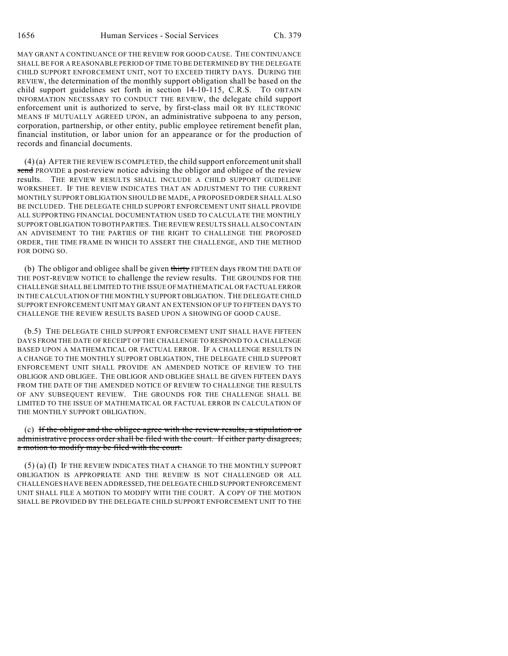MAY GRANT A CONTINUANCE OF THE REVIEW FOR GOOD CAUSE. THE CONTINUANCE SHALL BE FOR A REASONABLE PERIOD OF TIME TO BE DETERMINED BY THE DELEGATE CHILD SUPPORT ENFORCEMENT UNIT, NOT TO EXCEED THIRTY DAYS. DURING THE REVIEW, the determination of the monthly support obligation shall be based on the child support guidelines set forth in section 14-10-115, C.R.S. TO OBTAIN INFORMATION NECESSARY TO CONDUCT THE REVIEW, the delegate child support enforcement unit is authorized to serve, by first-class mail OR BY ELECTRONIC MEANS IF MUTUALLY AGREED UPON, an administrative subpoena to any person, corporation, partnership, or other entity, public employee retirement benefit plan, financial institution, or labor union for an appearance or for the production of records and financial documents.

(4) (a) AFTER THE REVIEW IS COMPLETED, the child support enforcement unit shall send PROVIDE a post-review notice advising the obligor and obligee of the review results. THE REVIEW RESULTS SHALL INCLUDE A CHILD SUPPORT GUIDELINE WORKSHEET. IF THE REVIEW INDICATES THAT AN ADJUSTMENT TO THE CURRENT MONTHLY SUPPORT OBLIGATION SHOULD BE MADE, A PROPOSED ORDER SHALL ALSO BE INCLUDED. THE DELEGATE CHILD SUPPORT ENFORCEMENT UNIT SHALL PROVIDE ALL SUPPORTING FINANCIAL DOCUMENTATION USED TO CALCULATE THE MONTHLY SUPPORT OBLIGATION TO BOTH PARTIES. THE REVIEW RESULTS SHALL ALSO CONTAIN AN ADVISEMENT TO THE PARTIES OF THE RIGHT TO CHALLENGE THE PROPOSED ORDER, THE TIME FRAME IN WHICH TO ASSERT THE CHALLENGE, AND THE METHOD FOR DOING SO.

(b) The obligor and obligee shall be given thirty FIFTEEN days FROM THE DATE OF THE POST-REVIEW NOTICE to challenge the review results. THE GROUNDS FOR THE CHALLENGE SHALL BE LIMITED TO THE ISSUE OF MATHEMATICAL OR FACTUAL ERROR IN THE CALCULATION OF THE MONTHLY SUPPORT OBLIGATION. THE DELEGATE CHILD SUPPORT ENFORCEMENT UNIT MAY GRANT AN EXTENSION OF UP TO FIFTEEN DAYS TO CHALLENGE THE REVIEW RESULTS BASED UPON A SHOWING OF GOOD CAUSE.

(b.5) THE DELEGATE CHILD SUPPORT ENFORCEMENT UNIT SHALL HAVE FIFTEEN DAYS FROM THE DATE OF RECEIPT OF THE CHALLENGE TO RESPOND TO A CHALLENGE BASED UPON A MATHEMATICAL OR FACTUAL ERROR. IF A CHALLENGE RESULTS IN A CHANGE TO THE MONTHLY SUPPORT OBLIGATION, THE DELEGATE CHILD SUPPORT ENFORCEMENT UNIT SHALL PROVIDE AN AMENDED NOTICE OF REVIEW TO THE OBLIGOR AND OBLIGEE. THE OBLIGOR AND OBLIGEE SHALL BE GIVEN FIFTEEN DAYS FROM THE DATE OF THE AMENDED NOTICE OF REVIEW TO CHALLENGE THE RESULTS OF ANY SUBSEQUENT REVIEW. THE GROUNDS FOR THE CHALLENGE SHALL BE LIMITED TO THE ISSUE OF MATHEMATICAL OR FACTUAL ERROR IN CALCULATION OF THE MONTHLY SUPPORT OBLIGATION.

(c) If the obligor and the obligee agree with the review results, a stipulation or administrative process order shall be filed with the court. If either party disagrees, a motion to modify may be filed with the court.

(5) (a) (I) IF THE REVIEW INDICATES THAT A CHANGE TO THE MONTHLY SUPPORT OBLIGATION IS APPROPRIATE AND THE REVIEW IS NOT CHALLENGED OR ALL CHALLENGES HAVE BEEN ADDRESSED, THE DELEGATE CHILD SUPPORT ENFORCEMENT UNIT SHALL FILE A MOTION TO MODIFY WITH THE COURT. A COPY OF THE MOTION SHALL BE PROVIDED BY THE DELEGATE CHILD SUPPORT ENFORCEMENT UNIT TO THE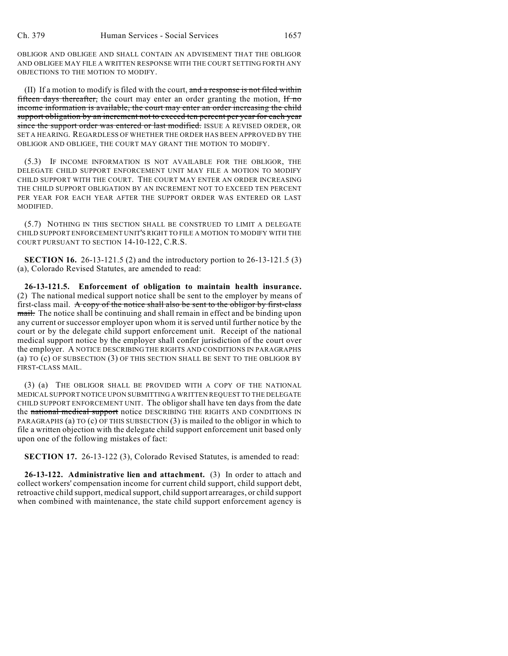OBLIGOR AND OBLIGEE AND SHALL CONTAIN AN ADVISEMENT THAT THE OBLIGOR AND OBLIGEE MAY FILE A WRITTEN RESPONSE WITH THE COURT SETTING FORTH ANY OBJECTIONS TO THE MOTION TO MODIFY.

(II) If a motion to modify is filed with the court, and a response is not filed within fifteen days thereafter, the court may enter an order granting the motion,  $H \cdot m\sigma$ income information is available, the court may enter an order increasing the child support obligation by an increment not to exceed ten percent per year for each year since the support order was entered or last modified. ISSUE A REVISED ORDER, OR SET A HEARING. REGARDLESS OF WHETHER THE ORDER HAS BEEN APPROVED BY THE OBLIGOR AND OBLIGEE, THE COURT MAY GRANT THE MOTION TO MODIFY.

(5.3) IF INCOME INFORMATION IS NOT AVAILABLE FOR THE OBLIGOR, THE DELEGATE CHILD SUPPORT ENFORCEMENT UNIT MAY FILE A MOTION TO MODIFY CHILD SUPPORT WITH THE COURT. THE COURT MAY ENTER AN ORDER INCREASING THE CHILD SUPPORT OBLIGATION BY AN INCREMENT NOT TO EXCEED TEN PERCENT PER YEAR FOR EACH YEAR AFTER THE SUPPORT ORDER WAS ENTERED OR LAST MODIFIED.

(5.7) NOTHING IN THIS SECTION SHALL BE CONSTRUED TO LIMIT A DELEGATE CHILD SUPPORT ENFORCEMENT UNIT'S RIGHT TO FILE A MOTION TO MODIFY WITH THE COURT PURSUANT TO SECTION 14-10-122, C.R.S.

**SECTION 16.** 26-13-121.5 (2) and the introductory portion to 26-13-121.5 (3) (a), Colorado Revised Statutes, are amended to read:

**26-13-121.5. Enforcement of obligation to maintain health insurance.** (2) The national medical support notice shall be sent to the employer by means of first-class mail. A copy of the notice shall also be sent to the obligor by first-class mail. The notice shall be continuing and shall remain in effect and be binding upon any current or successor employer upon whom it is served until further notice by the court or by the delegate child support enforcement unit. Receipt of the national medical support notice by the employer shall confer jurisdiction of the court over the employer. A NOTICE DESCRIBING THE RIGHTS AND CONDITIONS IN PARAGRAPHS (a) TO (c) OF SUBSECTION (3) OF THIS SECTION SHALL BE SENT TO THE OBLIGOR BY FIRST-CLASS MAIL.

(3) (a) THE OBLIGOR SHALL BE PROVIDED WITH A COPY OF THE NATIONAL MEDICAL SUPPORT NOTICE UPON SUBMITTING A WRITTEN REQUEST TO THE DELEGATE CHILD SUPPORT ENFORCEMENT UNIT. The obligor shall have ten days from the date the national medical support notice DESCRIBING THE RIGHTS AND CONDITIONS IN PARAGRAPHS (a) TO (c) OF THIS SUBSECTION (3) is mailed to the obligor in which to file a written objection with the delegate child support enforcement unit based only upon one of the following mistakes of fact:

**SECTION 17.** 26-13-122 (3), Colorado Revised Statutes, is amended to read:

**26-13-122. Administrative lien and attachment.** (3) In order to attach and collect workers' compensation income for current child support, child support debt, retroactive child support, medical support, child support arrearages, or child support when combined with maintenance, the state child support enforcement agency is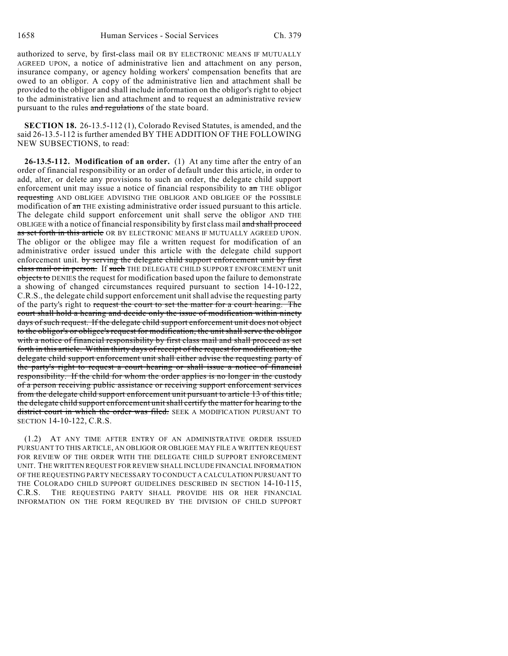authorized to serve, by first-class mail OR BY ELECTRONIC MEANS IF MUTUALLY AGREED UPON, a notice of administrative lien and attachment on any person, insurance company, or agency holding workers' compensation benefits that are owed to an obligor. A copy of the administrative lien and attachment shall be provided to the obligor and shall include information on the obligor's right to object to the administrative lien and attachment and to request an administrative review pursuant to the rules and regulations of the state board.

**SECTION 18.** 26-13.5-112 (1), Colorado Revised Statutes, is amended, and the said 26-13.5-112 is further amended BY THE ADDITION OF THE FOLLOWING NEW SUBSECTIONS, to read:

**26-13.5-112. Modification of an order.** (1) At any time after the entry of an order of financial responsibility or an order of default under this article, in order to add, alter, or delete any provisions to such an order, the delegate child support enforcement unit may issue a notice of financial responsibility to  $\pi$  THE obligor requesting AND OBLIGEE ADVISING THE OBLIGOR AND OBLIGEE OF the POSSIBLE modification of  $a$ n THE existing administrative order issued pursuant to this article. The delegate child support enforcement unit shall serve the obligor AND THE OBLIGEE with a notice of financial responsibility by first class mail and shall proceed as set forth in this article OR BY ELECTRONIC MEANS IF MUTUALLY AGREED UPON. The obligor or the obligee may file a written request for modification of an administrative order issued under this article with the delegate child support enforcement unit. by serving the delegate child support enforcement unit by first class mail or in person. If such THE DELEGATE CHILD SUPPORT ENFORCEMENT unit objects to DENIES the request for modification based upon the failure to demonstrate a showing of changed circumstances required pursuant to section 14-10-122, C.R.S., the delegate child support enforcement unit shall advise the requesting party of the party's right to request the court to set the matter for a court hearing. The court shall hold a hearing and decide only the issue of modification within ninety days of such request. If the delegate child support enforcement unit does not object to the obligor's or obligee's request for modification, the unit shall serve the obligor with a notice of financial responsibility by first class mail and shall proceed as set forth in this article. Within thirty days of receipt of the request for modification, the delegate child support enforcement unit shall either advise the requesting party of the party's right to request a court hearing or shall issue a notice of financial responsibility. If the child for whom the order applies is no longer in the custody of a person receiving public assistance or receiving support enforcement services from the delegate child support enforcement unit pursuant to article 13 of this title, the delegate child support enforcement unit shall certify the matter for hearing to the district court in which the order was filed. SEEK A MODIFICATION PURSUANT TO SECTION 14-10-122, C.R.S.

(1.2) AT ANY TIME AFTER ENTRY OF AN ADMINISTRATIVE ORDER ISSUED PURSUANT TO THIS ARTICLE, AN OBLIGOR OR OBLIGEE MAY FILE A WRITTEN REQUEST FOR REVIEW OF THE ORDER WITH THE DELEGATE CHILD SUPPORT ENFORCEMENT UNIT. THE WRITTEN REQUEST FOR REVIEW SHALL INCLUDE FINANCIAL INFORMATION OF THE REQUESTING PARTY NECESSARY TO CONDUCT A CALCULATION PURSUANT TO THE COLORADO CHILD SUPPORT GUIDELINES DESCRIBED IN SECTION 14-10-115, C.R.S. THE REQUESTING PARTY SHALL PROVIDE HIS OR HER FINANCIAL INFORMATION ON THE FORM REQUIRED BY THE DIVISION OF CHILD SUPPORT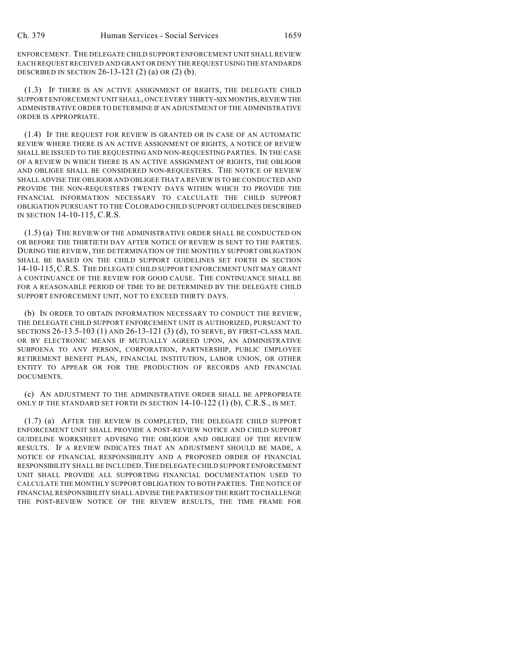ENFORCEMENT. THE DELEGATE CHILD SUPPORT ENFORCEMENT UNIT SHALL REVIEW EACH REQUEST RECEIVED AND GRANT OR DENY THE REQUEST USING THE STANDARDS DESCRIBED IN SECTION 26-13-121 (2) (a) OR (2) (b).

(1.3) IF THERE IS AN ACTIVE ASSIGNMENT OF RIGHTS, THE DELEGATE CHILD SUPPORT ENFORCEMENT UNIT SHALL, ONCE EVERY THIRTY-SIX MONTHS, REVIEW THE ADMINISTRATIVE ORDER TO DETERMINE IF AN ADJUSTMENT OF THE ADMINISTRATIVE ORDER IS APPROPRIATE.

(1.4) IF THE REQUEST FOR REVIEW IS GRANTED OR IN CASE OF AN AUTOMATIC REVIEW WHERE THERE IS AN ACTIVE ASSIGNMENT OF RIGHTS, A NOTICE OF REVIEW SHALL BE ISSUED TO THE REQUESTING AND NON-REQUESTING PARTIES. IN THE CASE OF A REVIEW IN WHICH THERE IS AN ACTIVE ASSIGNMENT OF RIGHTS, THE OBLIGOR AND OBLIGEE SHALL BE CONSIDERED NON-REQUESTERS. THE NOTICE OF REVIEW SHALL ADVISE THE OBLIGOR AND OBLIGEE THAT A REVIEW IS TO BE CONDUCTED AND PROVIDE THE NON-REQUESTERS TWENTY DAYS WITHIN WHICH TO PROVIDE THE FINANCIAL INFORMATION NECESSARY TO CALCULATE THE CHILD SUPPORT OBLIGATION PURSUANT TO THE COLORADO CHILD SUPPORT GUIDELINES DESCRIBED IN SECTION 14-10-115, C.R.S.

(1.5) (a) THE REVIEW OF THE ADMINISTRATIVE ORDER SHALL BE CONDUCTED ON OR BEFORE THE THIRTIETH DAY AFTER NOTICE OF REVIEW IS SENT TO THE PARTIES. DURING THE REVIEW, THE DETERMINATION OF THE MONTHLY SUPPORT OBLIGATION SHALL BE BASED ON THE CHILD SUPPORT GUIDELINES SET FORTH IN SECTION 14-10-115,C.R.S. THE DELEGATE CHILD SUPPORT ENFORCEMENT UNIT MAY GRANT A CONTINUANCE OF THE REVIEW FOR GOOD CAUSE. THE CONTINUANCE SHALL BE FOR A REASONABLE PERIOD OF TIME TO BE DETERMINED BY THE DELEGATE CHILD SUPPORT ENFORCEMENT UNIT, NOT TO EXCEED THIRTY DAYS.

(b) IN ORDER TO OBTAIN INFORMATION NECESSARY TO CONDUCT THE REVIEW, THE DELEGATE CHILD SUPPORT ENFORCEMENT UNIT IS AUTHORIZED, PURSUANT TO SECTIONS 26-13.5-103 (1) AND 26-13-121 (3) (d), TO SERVE, BY FIRST-CLASS MAIL OR BY ELECTRONIC MEANS IF MUTUALLY AGREED UPON, AN ADMINISTRATIVE SUBPOENA TO ANY PERSON, CORPORATION, PARTNERSHIP, PUBLIC EMPLOYEE RETIREMENT BENEFIT PLAN, FINANCIAL INSTITUTION, LABOR UNION, OR OTHER ENTITY TO APPEAR OR FOR THE PRODUCTION OF RECORDS AND FINANCIAL DOCUMENTS.

(c) AN ADJUSTMENT TO THE ADMINISTRATIVE ORDER SHALL BE APPROPRIATE ONLY IF THE STANDARD SET FORTH IN SECTION 14-10-122 (1) (b), C.R.S., IS MET.

(1.7) (a) AFTER THE REVIEW IS COMPLETED, THE DELEGATE CHILD SUPPORT ENFORCEMENT UNIT SHALL PROVIDE A POST-REVIEW NOTICE AND CHILD SUPPORT GUIDELINE WORKSHEET ADVISING THE OBLIGOR AND OBLIGEE OF THE REVIEW RESULTS. IF A REVIEW INDICATES THAT AN ADJUSTMENT SHOULD BE MADE, A NOTICE OF FINANCIAL RESPONSIBILITY AND A PROPOSED ORDER OF FINANCIAL RESPONSIBILITY SHALL BE INCLUDED.THE DELEGATE CHILD SUPPORT ENFORCEMENT UNIT SHALL PROVIDE ALL SUPPORTING FINANCIAL DOCUMENTATION USED TO CALCULATE THE MONTHLY SUPPORT OBLIGATION TO BOTH PARTIES. THE NOTICE OF FINANCIAL RESPONSIBILITY SHALL ADVISE THE PARTIES OF THE RIGHT TO CHALLENGE THE POST-REVIEW NOTICE OF THE REVIEW RESULTS, THE TIME FRAME FOR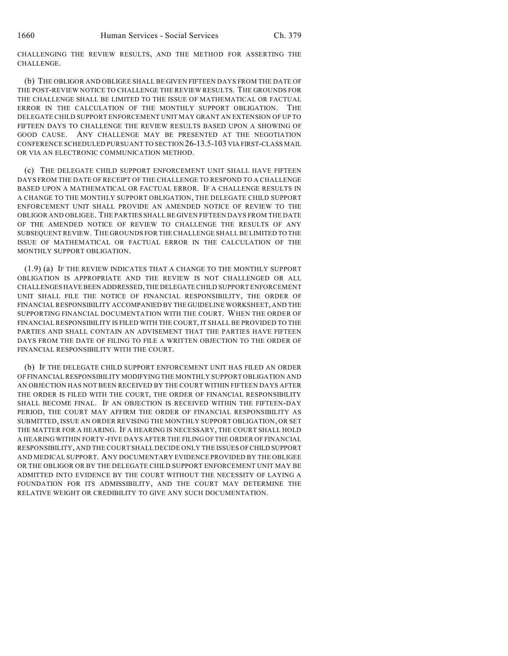CHALLENGING THE REVIEW RESULTS, AND THE METHOD FOR ASSERTING THE CHALLENGE.

(b) THE OBLIGOR AND OBLIGEE SHALL BE GIVEN FIFTEEN DAYS FROM THE DATE OF THE POST-REVIEW NOTICE TO CHALLENGE THE REVIEW RESULTS. THE GROUNDS FOR THE CHALLENGE SHALL BE LIMITED TO THE ISSUE OF MATHEMATICAL OR FACTUAL ERROR IN THE CALCULATION OF THE MONTHLY SUPPORT OBLIGATION. THE DELEGATE CHILD SUPPORT ENFORCEMENT UNIT MAY GRANT AN EXTENSION OF UP TO FIFTEEN DAYS TO CHALLENGE THE REVIEW RESULTS BASED UPON A SHOWING OF GOOD CAUSE. ANY CHALLENGE MAY BE PRESENTED AT THE NEGOTIATION CONFERENCE SCHEDULED PURSUANT TO SECTION 26-13.5-103 VIA FIRST-CLASS MAIL OR VIA AN ELECTRONIC COMMUNICATION METHOD.

(c) THE DELEGATE CHILD SUPPORT ENFORCEMENT UNIT SHALL HAVE FIFTEEN DAYS FROM THE DATE OF RECEIPT OF THE CHALLENGE TO RESPOND TO A CHALLENGE BASED UPON A MATHEMATICAL OR FACTUAL ERROR. IF A CHALLENGE RESULTS IN A CHANGE TO THE MONTHLY SUPPORT OBLIGATION, THE DELEGATE CHILD SUPPORT ENFORCEMENT UNIT SHALL PROVIDE AN AMENDED NOTICE OF REVIEW TO THE OBLIGOR AND OBLIGEE. THE PARTIES SHALL BE GIVEN FIFTEEN DAYS FROM THE DATE OF THE AMENDED NOTICE OF REVIEW TO CHALLENGE THE RESULTS OF ANY SUBSEQUENT REVIEW. THE GROUNDS FOR THE CHALLENGE SHALL BE LIMITED TO THE ISSUE OF MATHEMATICAL OR FACTUAL ERROR IN THE CALCULATION OF THE MONTHLY SUPPORT OBLIGATION.

(1.9) (a) IF THE REVIEW INDICATES THAT A CHANGE TO THE MONTHLY SUPPORT OBLIGATION IS APPROPRIATE AND THE REVIEW IS NOT CHALLENGED OR ALL CHALLENGES HAVE BEEN ADDRESSED, THE DELEGATE CHILD SUPPORT ENFORCEMENT UNIT SHALL FILE THE NOTICE OF FINANCIAL RESPONSIBILITY, THE ORDER OF FINANCIAL RESPONSIBILITY ACCOMPANIED BY THE GUIDELINE WORKSHEET, AND THE SUPPORTING FINANCIAL DOCUMENTATION WITH THE COURT. WHEN THE ORDER OF FINANCIAL RESPONSIBILITY IS FILED WITH THE COURT, IT SHALL BE PROVIDED TO THE PARTIES AND SHALL CONTAIN AN ADVISEMENT THAT THE PARTIES HAVE FIFTEEN DAYS FROM THE DATE OF FILING TO FILE A WRITTEN OBJECTION TO THE ORDER OF FINANCIAL RESPONSIBILITY WITH THE COURT.

(b) IF THE DELEGATE CHILD SUPPORT ENFORCEMENT UNIT HAS FILED AN ORDER OF FINANCIAL RESPONSIBILITY MODIFYING THE MONTHLY SUPPORT OBLIGATION AND AN OBJECTION HAS NOT BEEN RECEIVED BY THE COURT WITHIN FIFTEEN DAYS AFTER THE ORDER IS FILED WITH THE COURT, THE ORDER OF FINANCIAL RESPONSIBILITY SHALL BECOME FINAL. IF AN OBJECTION IS RECEIVED WITHIN THE FIFTEEN-DAY PERIOD, THE COURT MAY AFFIRM THE ORDER OF FINANCIAL RESPONSIBILITY AS SUBMITTED, ISSUE AN ORDER REVISING THE MONTHLY SUPPORT OBLIGATION, OR SET THE MATTER FOR A HEARING. IF A HEARING IS NECESSARY, THE COURT SHALL HOLD A HEARING WITHIN FORTY-FIVE DAYS AFTER THE FILING OF THE ORDER OF FINANCIAL RESPONSIBILITY, AND THE COURT SHALL DECIDE ONLY THE ISSUES OF CHILD SUPPORT AND MEDICAL SUPPORT. ANY DOCUMENTARY EVIDENCE PROVIDED BY THE OBLIGEE OR THE OBLIGOR OR BY THE DELEGATE CHILD SUPPORT ENFORCEMENT UNIT MAY BE ADMITTED INTO EVIDENCE BY THE COURT WITHOUT THE NECESSITY OF LAYING A FOUNDATION FOR ITS ADMISSIBILITY, AND THE COURT MAY DETERMINE THE RELATIVE WEIGHT OR CREDIBILITY TO GIVE ANY SUCH DOCUMENTATION.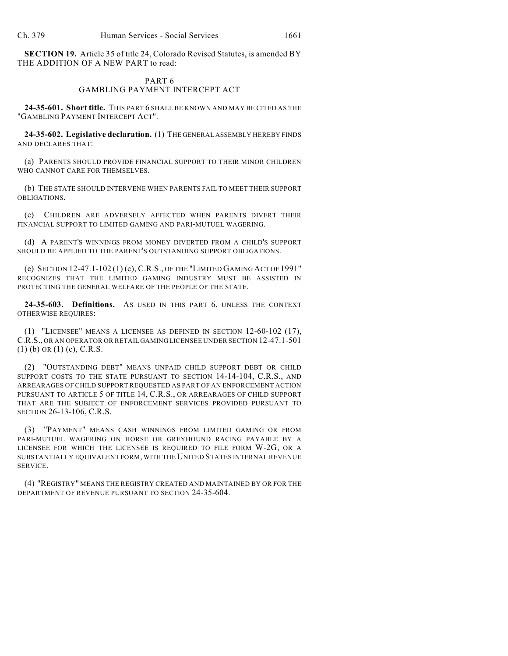**SECTION 19.** Article 35 of title 24, Colorado Revised Statutes, is amended BY THE ADDITION OF A NEW PART to read:

## PART 6 GAMBLING PAYMENT INTERCEPT ACT

**24-35-601. Short title.** THIS PART 6 SHALL BE KNOWN AND MAY BE CITED AS THE "GAMBLING PAYMENT INTERCEPT ACT".

**24-35-602. Legislative declaration.** (1) THE GENERAL ASSEMBLY HEREBY FINDS AND DECLARES THAT:

(a) PARENTS SHOULD PROVIDE FINANCIAL SUPPORT TO THEIR MINOR CHILDREN WHO CANNOT CARE FOR THEMSELVES.

(b) THE STATE SHOULD INTERVENE WHEN PARENTS FAIL TO MEET THEIR SUPPORT OBLIGATIONS.

(c) CHILDREN ARE ADVERSELY AFFECTED WHEN PARENTS DIVERT THEIR FINANCIAL SUPPORT TO LIMITED GAMING AND PARI-MUTUEL WAGERING.

(d) A PARENT'S WINNINGS FROM MONEY DIVERTED FROM A CHILD'S SUPPORT SHOULD BE APPLIED TO THE PARENT'S OUTSTANDING SUPPORT OBLIGATIONS.

(e) SECTION 12-47.1-102 (1) (c), C.R.S., OF THE "LIMITED GAMING ACT OF 1991" RECOGNIZES THAT THE LIMITED GAMING INDUSTRY MUST BE ASSISTED IN PROTECTING THE GENERAL WELFARE OF THE PEOPLE OF THE STATE.

**24-35-603. Definitions.** AS USED IN THIS PART 6, UNLESS THE CONTEXT OTHERWISE REQUIRES:

(1) "LICENSEE" MEANS A LICENSEE AS DEFINED IN SECTION 12-60-102 (17), C.R.S., OR AN OPERATOR OR RETAIL GAMING LICENSEE UNDER SECTION 12-47.1-501 (1) (b) OR (1) (c), C.R.S.

(2) "OUTSTANDING DEBT" MEANS UNPAID CHILD SUPPORT DEBT OR CHILD SUPPORT COSTS TO THE STATE PURSUANT TO SECTION 14-14-104, C.R.S., AND ARREARAGES OF CHILD SUPPORT REQUESTED AS PART OF AN ENFORCEMENT ACTION PURSUANT TO ARTICLE 5 OF TITLE 14, C.R.S., OR ARREARAGES OF CHILD SUPPORT THAT ARE THE SUBJECT OF ENFORCEMENT SERVICES PROVIDED PURSUANT TO SECTION 26-13-106, C.R.S.

(3) "PAYMENT" MEANS CASH WINNINGS FROM LIMITED GAMING OR FROM PARI-MUTUEL WAGERING ON HORSE OR GREYHOUND RACING PAYABLE BY A LICENSEE FOR WHICH THE LICENSEE IS REQUIRED TO FILE FORM W-2G, OR A SUBSTANTIALLY EQUIVALENT FORM, WITH THE UNITED STATES INTERNAL REVENUE SERVICE.

(4) "REGISTRY" MEANS THE REGISTRY CREATED AND MAINTAINED BY OR FOR THE DEPARTMENT OF REVENUE PURSUANT TO SECTION 24-35-604.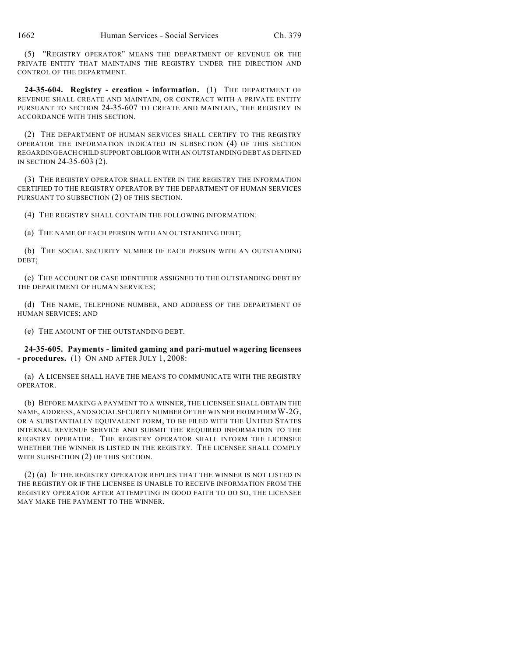(5) "REGISTRY OPERATOR" MEANS THE DEPARTMENT OF REVENUE OR THE PRIVATE ENTITY THAT MAINTAINS THE REGISTRY UNDER THE DIRECTION AND CONTROL OF THE DEPARTMENT.

**24-35-604. Registry - creation - information.** (1) THE DEPARTMENT OF REVENUE SHALL CREATE AND MAINTAIN, OR CONTRACT WITH A PRIVATE ENTITY PURSUANT TO SECTION 24-35-607 TO CREATE AND MAINTAIN, THE REGISTRY IN ACCORDANCE WITH THIS SECTION.

(2) THE DEPARTMENT OF HUMAN SERVICES SHALL CERTIFY TO THE REGISTRY OPERATOR THE INFORMATION INDICATED IN SUBSECTION (4) OF THIS SECTION REGARDING EACH CHILD SUPPORT OBLIGOR WITH AN OUTSTANDING DEBT AS DEFINED IN SECTION 24-35-603 (2).

(3) THE REGISTRY OPERATOR SHALL ENTER IN THE REGISTRY THE INFORMATION CERTIFIED TO THE REGISTRY OPERATOR BY THE DEPARTMENT OF HUMAN SERVICES PURSUANT TO SUBSECTION (2) OF THIS SECTION.

(4) THE REGISTRY SHALL CONTAIN THE FOLLOWING INFORMATION:

(a) THE NAME OF EACH PERSON WITH AN OUTSTANDING DEBT;

(b) THE SOCIAL SECURITY NUMBER OF EACH PERSON WITH AN OUTSTANDING DEBT;

(c) THE ACCOUNT OR CASE IDENTIFIER ASSIGNED TO THE OUTSTANDING DEBT BY THE DEPARTMENT OF HUMAN SERVICES;

(d) THE NAME, TELEPHONE NUMBER, AND ADDRESS OF THE DEPARTMENT OF HUMAN SERVICES; AND

(e) THE AMOUNT OF THE OUTSTANDING DEBT.

**24-35-605. Payments - limited gaming and pari-mutuel wagering licensees - procedures.** (1) ON AND AFTER JULY 1, 2008:

(a) A LICENSEE SHALL HAVE THE MEANS TO COMMUNICATE WITH THE REGISTRY OPERATOR.

(b) BEFORE MAKING A PAYMENT TO A WINNER, THE LICENSEE SHALL OBTAIN THE NAME, ADDRESS, AND SOCIAL SECURITY NUMBER OF THE WINNER FROM FORM W-2G, OR A SUBSTANTIALLY EQUIVALENT FORM, TO BE FILED WITH THE UNITED STATES INTERNAL REVENUE SERVICE AND SUBMIT THE REQUIRED INFORMATION TO THE REGISTRY OPERATOR. THE REGISTRY OPERATOR SHALL INFORM THE LICENSEE WHETHER THE WINNER IS LISTED IN THE REGISTRY. THE LICENSEE SHALL COMPLY WITH SUBSECTION (2) OF THIS SECTION.

(2) (a) IF THE REGISTRY OPERATOR REPLIES THAT THE WINNER IS NOT LISTED IN THE REGISTRY OR IF THE LICENSEE IS UNABLE TO RECEIVE INFORMATION FROM THE REGISTRY OPERATOR AFTER ATTEMPTING IN GOOD FAITH TO DO SO, THE LICENSEE MAY MAKE THE PAYMENT TO THE WINNER.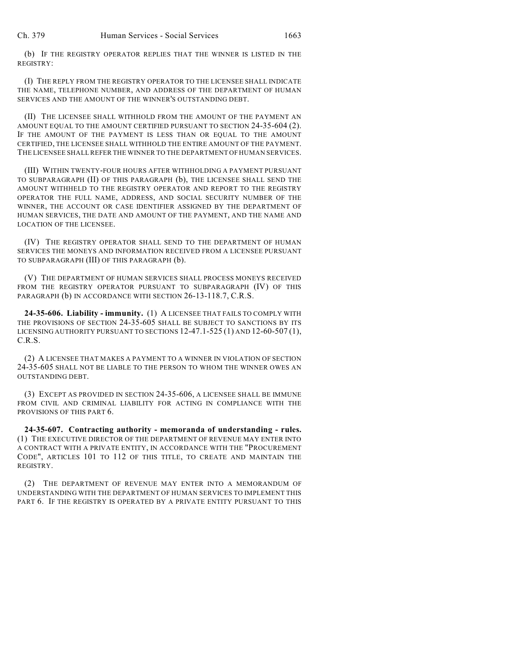(b) IF THE REGISTRY OPERATOR REPLIES THAT THE WINNER IS LISTED IN THE REGISTRY:

(I) THE REPLY FROM THE REGISTRY OPERATOR TO THE LICENSEE SHALL INDICATE THE NAME, TELEPHONE NUMBER, AND ADDRESS OF THE DEPARTMENT OF HUMAN SERVICES AND THE AMOUNT OF THE WINNER'S OUTSTANDING DEBT.

(II) THE LICENSEE SHALL WITHHOLD FROM THE AMOUNT OF THE PAYMENT AN AMOUNT EQUAL TO THE AMOUNT CERTIFIED PURSUANT TO SECTION 24-35-604 (2). IF THE AMOUNT OF THE PAYMENT IS LESS THAN OR EQUAL TO THE AMOUNT CERTIFIED, THE LICENSEE SHALL WITHHOLD THE ENTIRE AMOUNT OF THE PAYMENT. THE LICENSEE SHALL REFER THE WINNER TO THE DEPARTMENT OF HUMAN SERVICES.

(III) WITHIN TWENTY-FOUR HOURS AFTER WITHHOLDING A PAYMENT PURSUANT TO SUBPARAGRAPH (II) OF THIS PARAGRAPH (b), THE LICENSEE SHALL SEND THE AMOUNT WITHHELD TO THE REGISTRY OPERATOR AND REPORT TO THE REGISTRY OPERATOR THE FULL NAME, ADDRESS, AND SOCIAL SECURITY NUMBER OF THE WINNER, THE ACCOUNT OR CASE IDENTIFIER ASSIGNED BY THE DEPARTMENT OF HUMAN SERVICES, THE DATE AND AMOUNT OF THE PAYMENT, AND THE NAME AND LOCATION OF THE LICENSEE.

(IV) THE REGISTRY OPERATOR SHALL SEND TO THE DEPARTMENT OF HUMAN SERVICES THE MONEYS AND INFORMATION RECEIVED FROM A LICENSEE PURSUANT TO SUBPARAGRAPH (III) OF THIS PARAGRAPH (b).

(V) THE DEPARTMENT OF HUMAN SERVICES SHALL PROCESS MONEYS RECEIVED FROM THE REGISTRY OPERATOR PURSUANT TO SUBPARAGRAPH (IV) OF THIS PARAGRAPH (b) IN ACCORDANCE WITH SECTION 26-13-118.7, C.R.S.

**24-35-606. Liability - immunity.** (1) A LICENSEE THAT FAILS TO COMPLY WITH THE PROVISIONS OF SECTION 24-35-605 SHALL BE SUBJECT TO SANCTIONS BY ITS LICENSING AUTHORITY PURSUANT TO SECTIONS 12-47.1-525 (1) AND 12-60-507 (1), C.R.S.

(2) A LICENSEE THAT MAKES A PAYMENT TO A WINNER IN VIOLATION OF SECTION 24-35-605 SHALL NOT BE LIABLE TO THE PERSON TO WHOM THE WINNER OWES AN OUTSTANDING DEBT.

(3) EXCEPT AS PROVIDED IN SECTION 24-35-606, A LICENSEE SHALL BE IMMUNE FROM CIVIL AND CRIMINAL LIABILITY FOR ACTING IN COMPLIANCE WITH THE PROVISIONS OF THIS PART 6.

**24-35-607. Contracting authority - memoranda of understanding - rules.** (1) THE EXECUTIVE DIRECTOR OF THE DEPARTMENT OF REVENUE MAY ENTER INTO A CONTRACT WITH A PRIVATE ENTITY, IN ACCORDANCE WITH THE "PROCUREMENT CODE", ARTICLES 101 TO 112 OF THIS TITLE, TO CREATE AND MAINTAIN THE REGISTRY.

(2) THE DEPARTMENT OF REVENUE MAY ENTER INTO A MEMORANDUM OF UNDERSTANDING WITH THE DEPARTMENT OF HUMAN SERVICES TO IMPLEMENT THIS PART 6. IF THE REGISTRY IS OPERATED BY A PRIVATE ENTITY PURSUANT TO THIS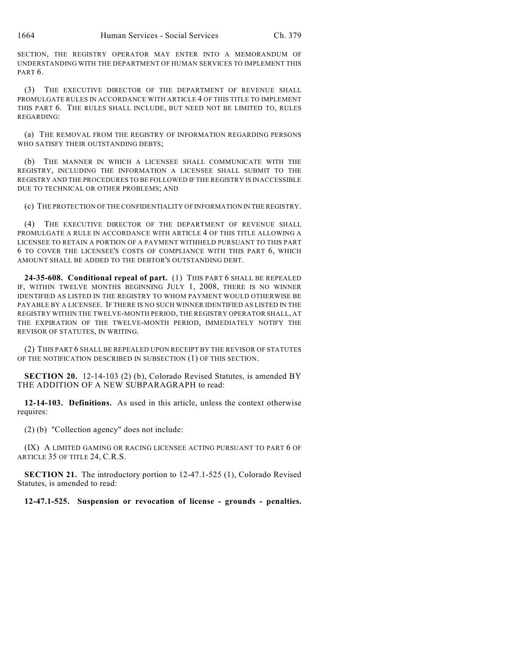SECTION, THE REGISTRY OPERATOR MAY ENTER INTO A MEMORANDUM OF UNDERSTANDING WITH THE DEPARTMENT OF HUMAN SERVICES TO IMPLEMENT THIS PART 6.

(3) THE EXECUTIVE DIRECTOR OF THE DEPARTMENT OF REVENUE SHALL PROMULGATE RULES IN ACCORDANCE WITH ARTICLE 4 OF THIS TITLE TO IMPLEMENT THIS PART 6. THE RULES SHALL INCLUDE, BUT NEED NOT BE LIMITED TO, RULES REGARDING:

(a) THE REMOVAL FROM THE REGISTRY OF INFORMATION REGARDING PERSONS WHO SATISFY THEIR OUTSTANDING DEBTS;

(b) THE MANNER IN WHICH A LICENSEE SHALL COMMUNICATE WITH THE REGISTRY, INCLUDING THE INFORMATION A LICENSEE SHALL SUBMIT TO THE REGISTRY AND THE PROCEDURES TO BE FOLLOWED IF THE REGISTRY IS INACCESSIBLE DUE TO TECHNICAL OR OTHER PROBLEMS; AND

(c) THE PROTECTION OF THE CONFIDENTIALITY OF INFORMATION IN THE REGISTRY.

(4) THE EXECUTIVE DIRECTOR OF THE DEPARTMENT OF REVENUE SHALL PROMULGATE A RULE IN ACCORDANCE WITH ARTICLE 4 OF THIS TITLE ALLOWING A LICENSEE TO RETAIN A PORTION OF A PAYMENT WITHHELD PURSUANT TO THIS PART 6 TO COVER THE LICENSEE'S COSTS OF COMPLIANCE WITH THIS PART 6, WHICH AMOUNT SHALL BE ADDED TO THE DEBTOR'S OUTSTANDING DEBT.

**24-35-608. Conditional repeal of part.** (1) THIS PART 6 SHALL BE REPEALED IF, WITHIN TWELVE MONTHS BEGINNING JULY 1, 2008, THERE IS NO WINNER IDENTIFIED AS LISTED IN THE REGISTRY TO WHOM PAYMENT WOULD OTHERWISE BE PAYABLE BY A LICENSEE. IF THERE IS NO SUCH WINNER IDENTIFIED AS LISTED IN THE REGISTRY WITHIN THE TWELVE-MONTH PERIOD, THE REGISTRY OPERATOR SHALL, AT THE EXPIRATION OF THE TWELVE-MONTH PERIOD, IMMEDIATELY NOTIFY THE REVISOR OF STATUTES, IN WRITING.

(2) THIS PART 6 SHALL BE REPEALED UPON RECEIPT BY THE REVISOR OF STATUTES OF THE NOTIFICATION DESCRIBED IN SUBSECTION (1) OF THIS SECTION.

**SECTION 20.** 12-14-103 (2) (b), Colorado Revised Statutes, is amended BY THE ADDITION OF A NEW SUBPARAGRAPH to read:

**12-14-103. Definitions.** As used in this article, unless the context otherwise requires:

(2) (b) "Collection agency" does not include:

(IX) A LIMITED GAMING OR RACING LICENSEE ACTING PURSUANT TO PART 6 OF ARTICLE 35 OF TITLE 24, C.R.S.

**SECTION 21.** The introductory portion to 12-47.1-525 (1), Colorado Revised Statutes, is amended to read:

**12-47.1-525. Suspension or revocation of license - grounds - penalties.**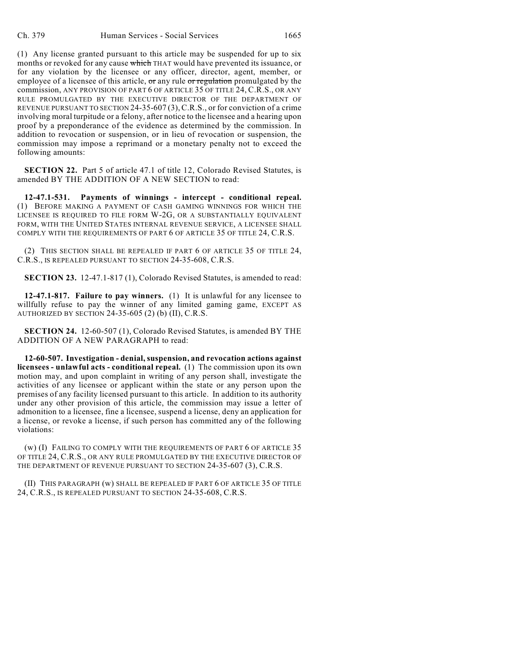(1) Any license granted pursuant to this article may be suspended for up to six months or revoked for any cause which THAT would have prevented its issuance, or for any violation by the licensee or any officer, director, agent, member, or employee of a licensee of this article,  $\sigma r$  any rule  $\sigma r$  regulation promulgated by the commission, ANY PROVISION OF PART 6 OF ARTICLE 35 OF TITLE 24, C.R.S., OR ANY RULE PROMULGATED BY THE EXECUTIVE DIRECTOR OF THE DEPARTMENT OF REVENUE PURSUANT TO SECTION 24-35-607 (3),C.R.S., or for conviction of a crime involving moral turpitude or a felony, after notice to the licensee and a hearing upon proof by a preponderance of the evidence as determined by the commission. In addition to revocation or suspension, or in lieu of revocation or suspension, the commission may impose a reprimand or a monetary penalty not to exceed the following amounts:

**SECTION 22.** Part 5 of article 47.1 of title 12, Colorado Revised Statutes, is amended BY THE ADDITION OF A NEW SECTION to read:

**12-47.1-531. Payments of winnings - intercept - conditional repeal.** (1) BEFORE MAKING A PAYMENT OF CASH GAMING WINNINGS FOR WHICH THE LICENSEE IS REQUIRED TO FILE FORM W-2G, OR A SUBSTANTIALLY EQUIVALENT FORM, WITH THE UNITED STATES INTERNAL REVENUE SERVICE, A LICENSEE SHALL COMPLY WITH THE REQUIREMENTS OF PART 6 OF ARTICLE 35 OF TITLE 24, C.R.S.

(2) THIS SECTION SHALL BE REPEALED IF PART 6 OF ARTICLE 35 OF TITLE 24, C.R.S., IS REPEALED PURSUANT TO SECTION 24-35-608, C.R.S.

**SECTION 23.** 12-47.1-817 (1), Colorado Revised Statutes, is amended to read:

**12-47.1-817. Failure to pay winners.** (1) It is unlawful for any licensee to willfully refuse to pay the winner of any limited gaming game, EXCEPT AS AUTHORIZED BY SECTION 24-35-605 (2) (b) (II), C.R.S.

**SECTION 24.** 12-60-507 (1), Colorado Revised Statutes, is amended BY THE ADDITION OF A NEW PARAGRAPH to read:

**12-60-507. Investigation - denial, suspension, and revocation actions against licensees - unlawful acts - conditional repeal.** (1) The commission upon its own motion may, and upon complaint in writing of any person shall, investigate the activities of any licensee or applicant within the state or any person upon the premises of any facility licensed pursuant to this article. In addition to its authority under any other provision of this article, the commission may issue a letter of admonition to a licensee, fine a licensee, suspend a license, deny an application for a license, or revoke a license, if such person has committed any of the following violations:

(w) (I) FAILING TO COMPLY WITH THE REQUIREMENTS OF PART 6 OF ARTICLE 35 OF TITLE 24, C.R.S., OR ANY RULE PROMULGATED BY THE EXECUTIVE DIRECTOR OF THE DEPARTMENT OF REVENUE PURSUANT TO SECTION 24-35-607 (3), C.R.S.

(II) THIS PARAGRAPH (w) SHALL BE REPEALED IF PART 6 OF ARTICLE 35 OF TITLE 24, C.R.S., IS REPEALED PURSUANT TO SECTION 24-35-608, C.R.S.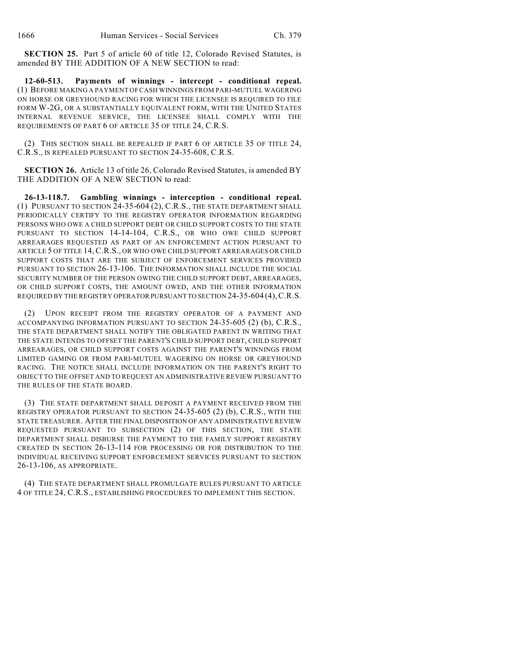**SECTION 25.** Part 5 of article 60 of title 12, Colorado Revised Statutes, is amended BY THE ADDITION OF A NEW SECTION to read:

**12-60-513. Payments of winnings - intercept - conditional repeal.** (1) BEFORE MAKING A PAYMENT OFCASH WINNINGS FROM PARI-MUTUEL WAGERING ON HORSE OR GREYHOUND RACING FOR WHICH THE LICENSEE IS REQUIRED TO FILE FORM W-2G, OR A SUBSTANTIALLY EQUIVALENT FORM, WITH THE UNITED STATES INTERNAL REVENUE SERVICE, THE LICENSEE SHALL COMPLY WITH THE REQUIREMENTS OF PART 6 OF ARTICLE 35 OF TITLE 24, C.R.S.

(2) THIS SECTION SHALL BE REPEALED IF PART 6 OF ARTICLE 35 OF TITLE 24, C.R.S., IS REPEALED PURSUANT TO SECTION 24-35-608, C.R.S.

**SECTION 26.** Article 13 of title 26, Colorado Revised Statutes, is amended BY THE ADDITION OF A NEW SECTION to read:

**26-13-118.7. Gambling winnings - interception - conditional repeal.** (1) PURSUANT TO SECTION 24-35-604 (2), C.R.S., THE STATE DEPARTMENT SHALL PERIODICALLY CERTIFY TO THE REGISTRY OPERATOR INFORMATION REGARDING PERSONS WHO OWE A CHILD SUPPORT DEBT OR CHILD SUPPORT COSTS TO THE STATE PURSUANT TO SECTION 14-14-104, C.R.S., OR WHO OWE CHILD SUPPORT ARREARAGES REQUESTED AS PART OF AN ENFORCEMENT ACTION PURSUANT TO ARTICLE 5 OF TITLE 14,C.R.S., OR WHO OWE CHILD SUPPORT ARREARAGES OR CHILD SUPPORT COSTS THAT ARE THE SUBJECT OF ENFORCEMENT SERVICES PROVIDED PURSUANT TO SECTION 26-13-106. THE INFORMATION SHALL INCLUDE THE SOCIAL SECURITY NUMBER OF THE PERSON OWING THE CHILD SUPPORT DEBT, ARREARAGES, OR CHILD SUPPORT COSTS, THE AMOUNT OWED, AND THE OTHER INFORMATION REQUIRED BY THE REGISTRY OPERATOR PURSUANT TO SECTION 24-35-604 (4),C.R.S.

(2) UPON RECEIPT FROM THE REGISTRY OPERATOR OF A PAYMENT AND ACCOMPANYING INFORMATION PURSUANT TO SECTION 24-35-605 (2) (b), C.R.S., THE STATE DEPARTMENT SHALL NOTIFY THE OBLIGATED PARENT IN WRITING THAT THE STATE INTENDS TO OFFSET THE PARENT'S CHILD SUPPORT DEBT, CHILD SUPPORT ARREARAGES, OR CHILD SUPPORT COSTS AGAINST THE PARENT'S WINNINGS FROM LIMITED GAMING OR FROM PARI-MUTUEL WAGERING ON HORSE OR GREYHOUND RACING. THE NOTICE SHALL INCLUDE INFORMATION ON THE PARENT'S RIGHT TO OBJECT TO THE OFFSET AND TO REQUEST AN ADMINISTRATIVE REVIEW PURSUANT TO THE RULES OF THE STATE BOARD.

(3) THE STATE DEPARTMENT SHALL DEPOSIT A PAYMENT RECEIVED FROM THE REGISTRY OPERATOR PURSUANT TO SECTION 24-35-605 (2) (b), C.R.S., WITH THE STATE TREASURER. AFTER THE FINAL DISPOSITION OF ANY ADMINISTRATIVE REVIEW REQUESTED PURSUANT TO SUBSECTION (2) OF THIS SECTION, THE STATE DEPARTMENT SHALL DISBURSE THE PAYMENT TO THE FAMILY SUPPORT REGISTRY CREATED IN SECTION 26-13-114 FOR PROCESSING OR FOR DISTRIBUTION TO THE INDIVIDUAL RECEIVING SUPPORT ENFORCEMENT SERVICES PURSUANT TO SECTION 26-13-106, AS APPROPRIATE.

(4) THE STATE DEPARTMENT SHALL PROMULGATE RULES PURSUANT TO ARTICLE 4 OF TITLE 24, C.R.S., ESTABLISHING PROCEDURES TO IMPLEMENT THIS SECTION.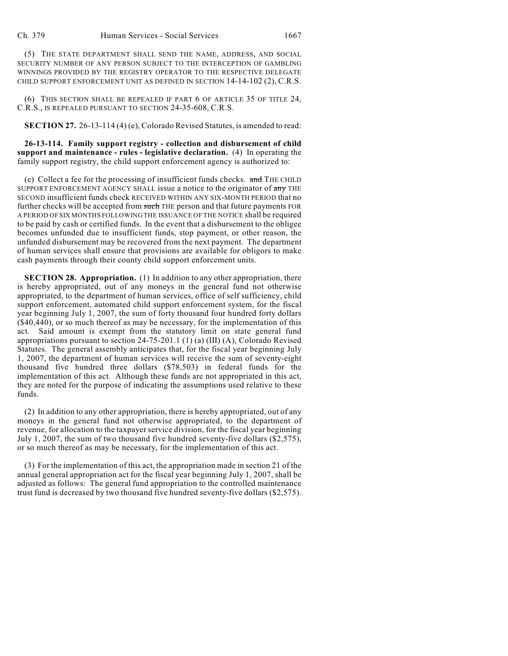(5) THE STATE DEPARTMENT SHALL SEND THE NAME, ADDRESS, AND SOCIAL SECURITY NUMBER OF ANY PERSON SUBJECT TO THE INTERCEPTION OF GAMBLING WINNINGS PROVIDED BY THE REGISTRY OPERATOR TO THE RESPECTIVE DELEGATE CHILD SUPPORT ENFORCEMENT UNIT AS DEFINED IN SECTION 14-14-102 (2), C.R.S.

(6) THIS SECTION SHALL BE REPEALED IF PART 6 OF ARTICLE 35 OF TITLE 24, C.R.S., IS REPEALED PURSUANT TO SECTION 24-35-608, C.R.S.

**SECTION 27.** 26-13-114 (4) (e), Colorado Revised Statutes, is amended to read:

**26-13-114. Family support registry - collection and disbursement of child support and maintenance - rules - legislative declaration.** (4) In operating the family support registry, the child support enforcement agency is authorized to:

(e) Collect a fee for the processing of insufficient funds checks.  $\overline{\text{and}}$  THE CHILD SUPPORT ENFORCEMENT AGENCY SHALL issue a notice to the originator of any THE SECOND insufficient funds check RECEIVED WITHIN ANY SIX-MONTH PERIOD that no further checks will be accepted from such THE person and that future payments FOR A PERIOD OF SIX MONTHS FOLLOWING THE ISSUANCE OF THE NOTICE shall be required to be paid by cash or certified funds. In the event that a disbursement to the obligee becomes unfunded due to insufficient funds, stop payment, or other reason, the unfunded disbursement may be recovered from the next payment. The department of human services shall ensure that provisions are available for obligors to make cash payments through their county child support enforcement units.

**SECTION 28. Appropriation.** (1) In addition to any other appropriation, there is hereby appropriated, out of any moneys in the general fund not otherwise appropriated, to the department of human services, office of self sufficiency, child support enforcement, automated child support enforcement system, for the fiscal year beginning July 1, 2007, the sum of forty thousand four hundred forty dollars (\$40,440), or so much thereof as may be necessary, for the implementation of this act. Said amount is exempt from the statutory limit on state general fund appropriations pursuant to section 24-75-201.1 (1) (a) (III) (A), Colorado Revised Statutes. The general assembly anticipates that, for the fiscal year beginning July 1, 2007, the department of human services will receive the sum of seventy-eight thousand five hundred three dollars (\$78,503) in federal funds for the implementation of this act. Although these funds are not appropriated in this act, they are noted for the purpose of indicating the assumptions used relative to these funds.

(2) In addition to any other appropriation, there is hereby appropriated, out of any moneys in the general fund not otherwise appropriated, to the department of revenue, for allocation to the taxpayer service division, for the fiscal year beginning July 1, 2007, the sum of two thousand five hundred seventy-five dollars (\$2,575), or so much thereof as may be necessary, for the implementation of this act.

(3) For the implementation of this act, the appropriation made in section 21 of the annual general appropriation act for the fiscal year beginning July 1, 2007, shall be adjusted as follows: The general fund appropriation to the controlled maintenance trust fund is decreased by two thousand five hundred seventy-five dollars (\$2,575).